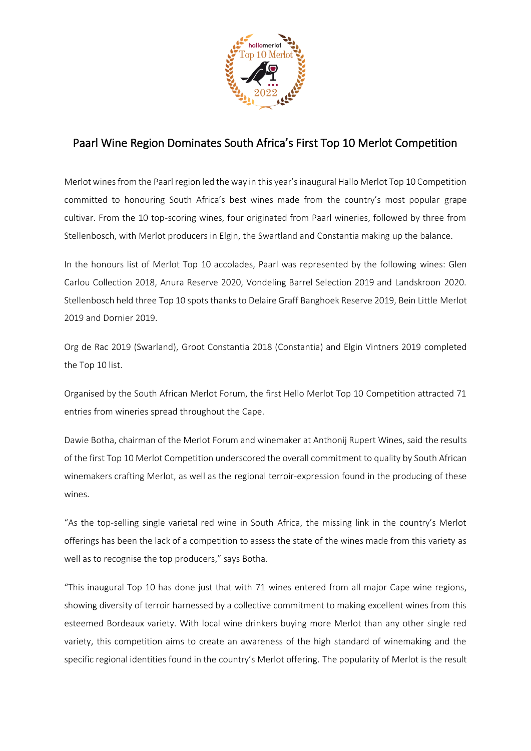

## Paarl Wine Region Dominates South Africa's First Top 10 Merlot Competition

Merlot wines from the Paarl region led the way in this year'sinaugural Hallo Merlot Top 10 Competition committed to honouring South Africa's best wines made from the country's most popular grape cultivar. From the 10 top-scoring wines, four originated from Paarl wineries, followed by three from Stellenbosch, with Merlot producers in Elgin, the Swartland and Constantia making up the balance.

In the honours list of Merlot Top 10 accolades, Paarl was represented by the following wines: Glen Carlou Collection 2018, Anura Reserve 2020, Vondeling Barrel Selection 2019 and Landskroon 2020. Stellenbosch held three Top 10 spots thanks to Delaire Graff Banghoek Reserve 2019, Bein Little Merlot 2019 and Dornier 2019.

Org de Rac 2019 (Swarland), Groot Constantia 2018 (Constantia) and Elgin Vintners 2019 completed the Top 10 list.

Organised by the South African Merlot Forum, the first Hello Merlot Top 10 Competition attracted 71 entries from wineries spread throughout the Cape.

Dawie Botha, chairman of the Merlot Forum and winemaker at Anthonij Rupert Wines, said the results of the first Top 10 Merlot Competition underscored the overall commitment to quality by South African winemakers crafting Merlot, as well as the regional terroir-expression found in the producing of these wines.

"As the top-selling single varietal red wine in South Africa, the missing link in the country's Merlot offerings has been the lack of a competition to assess the state of the wines made from this variety as well as to recognise the top producers," says Botha.

"This inaugural Top 10 has done just that with 71 wines entered from all major Cape wine regions, showing diversity of terroir harnessed by a collective commitment to making excellent wines from this esteemed Bordeaux variety. With local wine drinkers buying more Merlot than any other single red variety, this competition aims to create an awareness of the high standard of winemaking and the specific regional identities found in the country's Merlot offering. The popularity of Merlot is the result